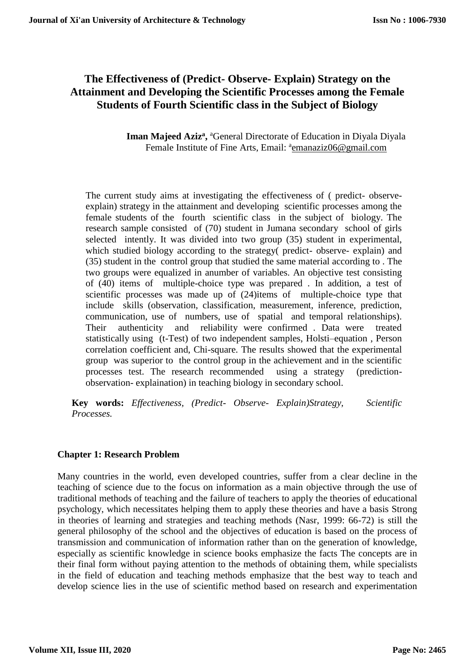# **The Effectiveness of (Predict- Observe- Explain) Strategy on the Attainment and Developing the Scientific Processes among the Female Students of Fourth Scientific class in the Subject of Biology**

Iman Majeed Aziz<sup>a</sup>, <sup>a</sup>General Directorate of Education in Diyala Diyala Female Institute of Fine Arts, Email: <sup>a</sup>[emanaziz06@gmail.com](mailto:emanaziz06@gmail.com)

The current study aims at investigating the effectiveness of ( predict- observeexplain) strategy in the attainment and developing scientific processes among the female students of the fourth scientific class in the subject of biology. The research sample consisted of (70) student in Jumana secondary school of girls selected intently. It was divided into two group (35) student in experimental, which studied biology according to the strategy( predict- observe- explain) and (35) student in the control group that studied the same material according to . The two groups were equalized in anumber of variables. An objective test consisting of (40) items of multiple-choice type was prepared . In addition, a test of scientific processes was made up of (24)items of multiple-choice type that include skills (observation, classification, measurement, inference, prediction, communication, use of numbers, use of spatial and temporal relationships). Their authenticity and reliability were confirmed . Data were treated statistically using (t-Test) of two independent samples, Holsti–equation , Person correlation coefficient and, Chi-square. The results showed that the experimental group was superior to the control group in the achievement and in the scientific processes test. The research recommended using a strategy (predictionobservation- explaination) in teaching biology in secondary school.

**Key words:** *Effectiveness, (Predict- Observe- Explain)Strategy, Scientific Processes.*

## **Chapter 1: Research Problem**

Many countries in the world, even developed countries, suffer from a clear decline in the teaching of science due to the focus on information as a main objective through the use of traditional methods of teaching and the failure of teachers to apply the theories of educational psychology, which necessitates helping them to apply these theories and have a basis Strong in theories of learning and strategies and teaching methods (Nasr, 1999: 66-72) is still the general philosophy of the school and the objectives of education is based on the process of transmission and communication of information rather than on the generation of knowledge, especially as scientific knowledge in science books emphasize the facts The concepts are in their final form without paying attention to the methods of obtaining them, while specialists in the field of education and teaching methods emphasize that the best way to teach and develop science lies in the use of scientific method based on research and experimentation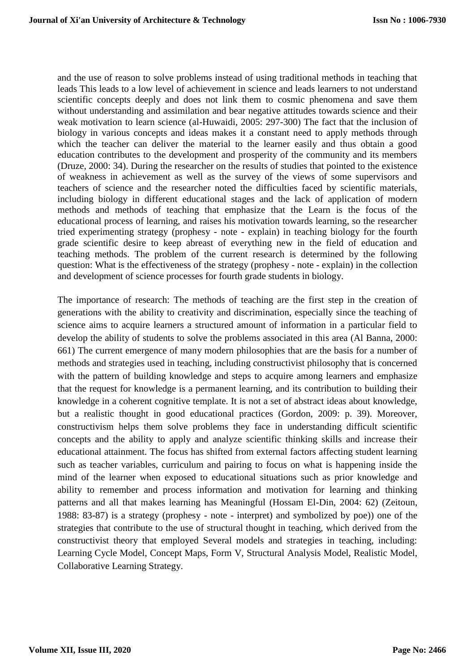and the use of reason to solve problems instead of using traditional methods in teaching that leads This leads to a low level of achievement in science and leads learners to not understand scientific concepts deeply and does not link them to cosmic phenomena and save them without understanding and assimilation and bear negative attitudes towards science and their weak motivation to learn science (al-Huwaidi, 2005: 297-300) The fact that the inclusion of biology in various concepts and ideas makes it a constant need to apply methods through which the teacher can deliver the material to the learner easily and thus obtain a good education contributes to the development and prosperity of the community and its members (Druze, 2000: 34). During the researcher on the results of studies that pointed to the existence of weakness in achievement as well as the survey of the views of some supervisors and teachers of science and the researcher noted the difficulties faced by scientific materials, including biology in different educational stages and the lack of application of modern methods and methods of teaching that emphasize that the Learn is the focus of the educational process of learning, and raises his motivation towards learning, so the researcher tried experimenting strategy (prophesy - note - explain) in teaching biology for the fourth grade scientific desire to keep abreast of everything new in the field of education and teaching methods. The problem of the current research is determined by the following question: What is the effectiveness of the strategy (prophesy - note - explain) in the collection and development of science processes for fourth grade students in biology.

The importance of research: The methods of teaching are the first step in the creation of generations with the ability to creativity and discrimination, especially since the teaching of science aims to acquire learners a structured amount of information in a particular field to develop the ability of students to solve the problems associated in this area (Al Banna, 2000: 661) The current emergence of many modern philosophies that are the basis for a number of methods and strategies used in teaching, including constructivist philosophy that is concerned with the pattern of building knowledge and steps to acquire among learners and emphasize that the request for knowledge is a permanent learning, and its contribution to building their knowledge in a coherent cognitive template. It is not a set of abstract ideas about knowledge, but a realistic thought in good educational practices (Gordon, 2009: p. 39). Moreover, constructivism helps them solve problems they face in understanding difficult scientific concepts and the ability to apply and analyze scientific thinking skills and increase their educational attainment. The focus has shifted from external factors affecting student learning such as teacher variables, curriculum and pairing to focus on what is happening inside the mind of the learner when exposed to educational situations such as prior knowledge and ability to remember and process information and motivation for learning and thinking patterns and all that makes learning has Meaningful (Hossam El-Din, 2004: 62) (Zeitoun, 1988: 83-87) is a strategy (prophesy - note - interpret) and symbolized by poe)) one of the strategies that contribute to the use of structural thought in teaching, which derived from the constructivist theory that employed Several models and strategies in teaching, including: Learning Cycle Model, Concept Maps, Form V, Structural Analysis Model, Realistic Model, Collaborative Learning Strategy.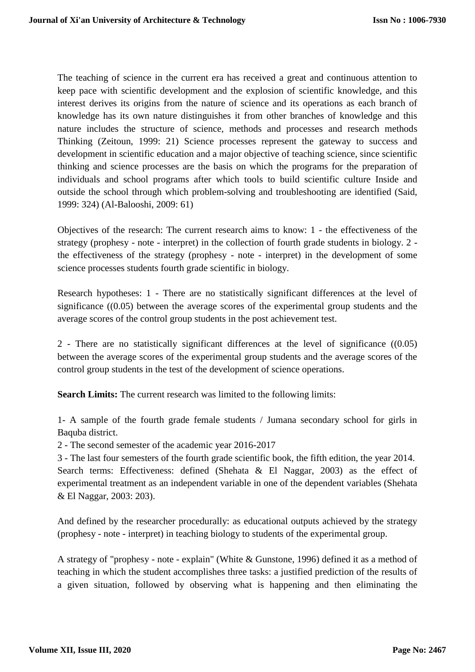The teaching of science in the current era has received a great and continuous attention to keep pace with scientific development and the explosion of scientific knowledge, and this interest derives its origins from the nature of science and its operations as each branch of knowledge has its own nature distinguishes it from other branches of knowledge and this nature includes the structure of science, methods and processes and research methods Thinking (Zeitoun, 1999: 21) Science processes represent the gateway to success and development in scientific education and a major objective of teaching science, since scientific thinking and science processes are the basis on which the programs for the preparation of individuals and school programs after which tools to build scientific culture Inside and outside the school through which problem-solving and troubleshooting are identified (Said, 1999: 324) (Al-Balooshi, 2009: 61)

Objectives of the research: The current research aims to know: 1 - the effectiveness of the strategy (prophesy - note - interpret) in the collection of fourth grade students in biology. 2 the effectiveness of the strategy (prophesy - note - interpret) in the development of some science processes students fourth grade scientific in biology.

Research hypotheses: 1 - There are no statistically significant differences at the level of significance ((0.05) between the average scores of the experimental group students and the average scores of the control group students in the post achievement test.

2 - There are no statistically significant differences at the level of significance ((0.05) between the average scores of the experimental group students and the average scores of the control group students in the test of the development of science operations.

**Search Limits:** The current research was limited to the following limits:

1- A sample of the fourth grade female students / Jumana secondary school for girls in Baquba district.

2 - The second semester of the academic year 2016-2017

3 - The last four semesters of the fourth grade scientific book, the fifth edition, the year 2014. Search terms: Effectiveness: defined (Shehata & El Naggar, 2003) as the effect of experimental treatment as an independent variable in one of the dependent variables (Shehata & El Naggar, 2003: 203).

And defined by the researcher procedurally: as educational outputs achieved by the strategy (prophesy - note - interpret) in teaching biology to students of the experimental group.

A strategy of "prophesy - note - explain" (White & Gunstone, 1996) defined it as a method of teaching in which the student accomplishes three tasks: a justified prediction of the results of a given situation, followed by observing what is happening and then eliminating the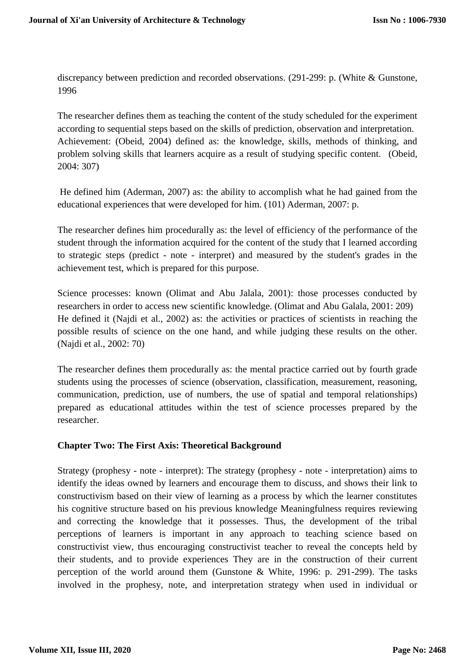discrepancy between prediction and recorded observations. (291-299: p. (White & Gunstone, 1996

The researcher defines them as teaching the content of the study scheduled for the experiment according to sequential steps based on the skills of prediction, observation and interpretation. Achievement: (Obeid, 2004) defined as: the knowledge, skills, methods of thinking, and problem solving skills that learners acquire as a result of studying specific content. (Obeid, 2004: 307)

He defined him (Aderman, 2007) as: the ability to accomplish what he had gained from the educational experiences that were developed for him. (101) Aderman, 2007: p.

The researcher defines him procedurally as: the level of efficiency of the performance of the student through the information acquired for the content of the study that I learned according to strategic steps (predict - note - interpret) and measured by the student's grades in the achievement test, which is prepared for this purpose.

Science processes: known (Olimat and Abu Jalala, 2001): those processes conducted by researchers in order to access new scientific knowledge. (Olimat and Abu Galala, 2001: 209) He defined it (Najdi et al., 2002) as: the activities or practices of scientists in reaching the possible results of science on the one hand, and while judging these results on the other. (Najdi et al., 2002: 70)

The researcher defines them procedurally as: the mental practice carried out by fourth grade students using the processes of science (observation, classification, measurement, reasoning, communication, prediction, use of numbers, the use of spatial and temporal relationships) prepared as educational attitudes within the test of science processes prepared by the researcher.

## **Chapter Two: The First Axis: Theoretical Background**

Strategy (prophesy - note - interpret): The strategy (prophesy - note - interpretation) aims to identify the ideas owned by learners and encourage them to discuss, and shows their link to constructivism based on their view of learning as a process by which the learner constitutes his cognitive structure based on his previous knowledge Meaningfulness requires reviewing and correcting the knowledge that it possesses. Thus, the development of the tribal perceptions of learners is important in any approach to teaching science based on constructivist view, thus encouraging constructivist teacher to reveal the concepts held by their students, and to provide experiences They are in the construction of their current perception of the world around them (Gunstone & White, 1996: p. 291-299). The tasks involved in the prophesy, note, and interpretation strategy when used in individual or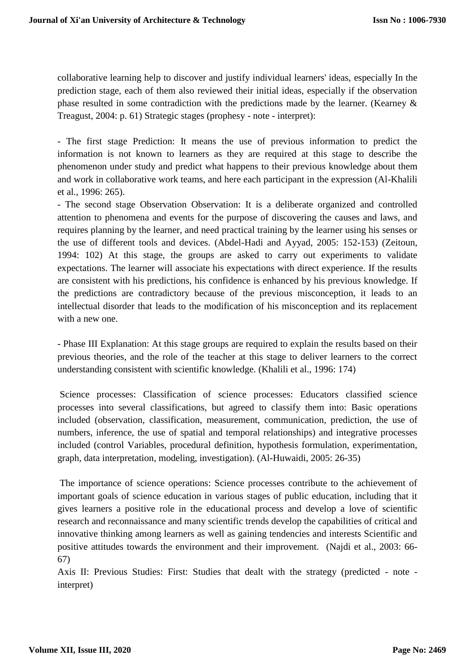collaborative learning help to discover and justify individual learners' ideas, especially In the prediction stage, each of them also reviewed their initial ideas, especially if the observation phase resulted in some contradiction with the predictions made by the learner. (Kearney  $\&$ Treagust, 2004: p. 61) Strategic stages (prophesy - note - interpret):

- The first stage Prediction: It means the use of previous information to predict the information is not known to learners as they are required at this stage to describe the phenomenon under study and predict what happens to their previous knowledge about them and work in collaborative work teams, and here each participant in the expression (Al-Khalili et al., 1996: 265).

- The second stage Observation Observation: It is a deliberate organized and controlled attention to phenomena and events for the purpose of discovering the causes and laws, and requires planning by the learner, and need practical training by the learner using his senses or the use of different tools and devices. (Abdel-Hadi and Ayyad, 2005: 152-153) (Zeitoun, 1994: 102) At this stage, the groups are asked to carry out experiments to validate expectations. The learner will associate his expectations with direct experience. If the results are consistent with his predictions, his confidence is enhanced by his previous knowledge. If the predictions are contradictory because of the previous misconception, it leads to an intellectual disorder that leads to the modification of his misconception and its replacement with a new one.

- Phase III Explanation: At this stage groups are required to explain the results based on their previous theories, and the role of the teacher at this stage to deliver learners to the correct understanding consistent with scientific knowledge. (Khalili et al., 1996: 174)

Science processes: Classification of science processes: Educators classified science processes into several classifications, but agreed to classify them into: Basic operations included (observation, classification, measurement, communication, prediction, the use of numbers, inference, the use of spatial and temporal relationships) and integrative processes included (control Variables, procedural definition, hypothesis formulation, experimentation, graph, data interpretation, modeling, investigation). (Al-Huwaidi, 2005: 26-35)

The importance of science operations: Science processes contribute to the achievement of important goals of science education in various stages of public education, including that it gives learners a positive role in the educational process and develop a love of scientific research and reconnaissance and many scientific trends develop the capabilities of critical and innovative thinking among learners as well as gaining tendencies and interests Scientific and positive attitudes towards the environment and their improvement. (Najdi et al., 2003: 66- 67)

Axis II: Previous Studies: First: Studies that dealt with the strategy (predicted - note interpret)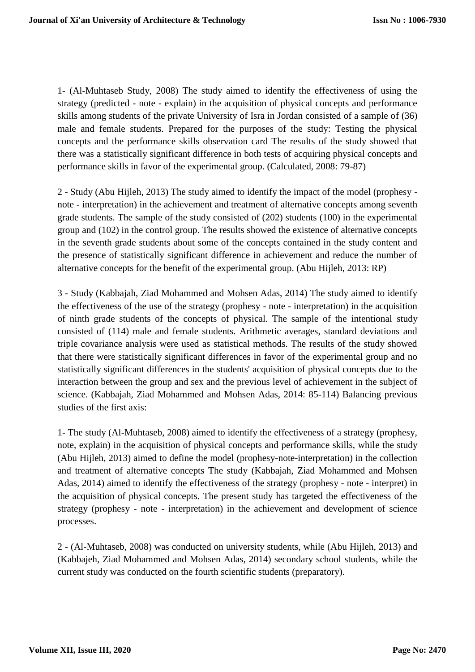1- (Al-Muhtaseb Study, 2008) The study aimed to identify the effectiveness of using the strategy (predicted - note - explain) in the acquisition of physical concepts and performance skills among students of the private University of Isra in Jordan consisted of a sample of (36) male and female students. Prepared for the purposes of the study: Testing the physical concepts and the performance skills observation card The results of the study showed that there was a statistically significant difference in both tests of acquiring physical concepts and performance skills in favor of the experimental group. (Calculated, 2008: 79-87)

2 - Study (Abu Hijleh, 2013) The study aimed to identify the impact of the model (prophesy note - interpretation) in the achievement and treatment of alternative concepts among seventh grade students. The sample of the study consisted of (202) students (100) in the experimental group and (102) in the control group. The results showed the existence of alternative concepts in the seventh grade students about some of the concepts contained in the study content and the presence of statistically significant difference in achievement and reduce the number of alternative concepts for the benefit of the experimental group. (Abu Hijleh, 2013: RP)

3 - Study (Kabbajah, Ziad Mohammed and Mohsen Adas, 2014) The study aimed to identify the effectiveness of the use of the strategy (prophesy - note - interpretation) in the acquisition of ninth grade students of the concepts of physical. The sample of the intentional study consisted of (114) male and female students. Arithmetic averages, standard deviations and triple covariance analysis were used as statistical methods. The results of the study showed that there were statistically significant differences in favor of the experimental group and no statistically significant differences in the students' acquisition of physical concepts due to the interaction between the group and sex and the previous level of achievement in the subject of science. (Kabbajah, Ziad Mohammed and Mohsen Adas, 2014: 85-114) Balancing previous studies of the first axis:

1- The study (Al-Muhtaseb, 2008) aimed to identify the effectiveness of a strategy (prophesy, note, explain) in the acquisition of physical concepts and performance skills, while the study (Abu Hijleh, 2013) aimed to define the model (prophesy-note-interpretation) in the collection and treatment of alternative concepts The study (Kabbajah, Ziad Mohammed and Mohsen Adas, 2014) aimed to identify the effectiveness of the strategy (prophesy - note - interpret) in the acquisition of physical concepts. The present study has targeted the effectiveness of the strategy (prophesy - note - interpretation) in the achievement and development of science processes.

2 - (Al-Muhtaseb, 2008) was conducted on university students, while (Abu Hijleh, 2013) and (Kabbajeh, Ziad Mohammed and Mohsen Adas, 2014) secondary school students, while the current study was conducted on the fourth scientific students (preparatory).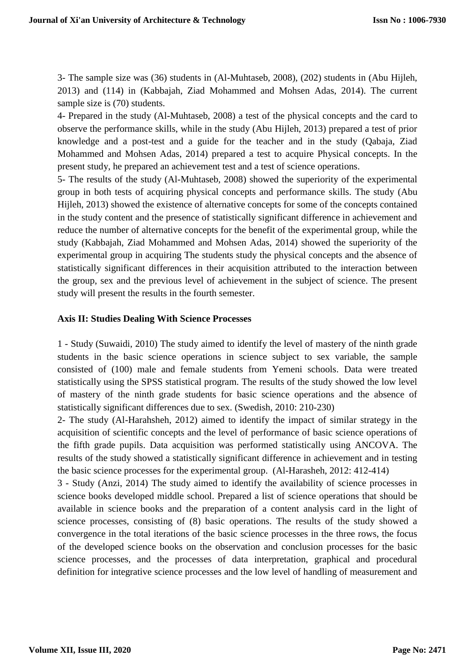3- The sample size was (36) students in (Al-Muhtaseb, 2008), (202) students in (Abu Hijleh, 2013) and (114) in (Kabbajah, Ziad Mohammed and Mohsen Adas, 2014). The current sample size is (70) students.

4- Prepared in the study (Al-Muhtaseb, 2008) a test of the physical concepts and the card to observe the performance skills, while in the study (Abu Hijleh, 2013) prepared a test of prior knowledge and a post-test and a guide for the teacher and in the study (Qabaja, Ziad Mohammed and Mohsen Adas, 2014) prepared a test to acquire Physical concepts. In the present study, he prepared an achievement test and a test of science operations.

5- The results of the study (Al-Muhtaseb, 2008) showed the superiority of the experimental group in both tests of acquiring physical concepts and performance skills. The study (Abu Hijleh, 2013) showed the existence of alternative concepts for some of the concepts contained in the study content and the presence of statistically significant difference in achievement and reduce the number of alternative concepts for the benefit of the experimental group, while the study (Kabbajah, Ziad Mohammed and Mohsen Adas, 2014) showed the superiority of the experimental group in acquiring The students study the physical concepts and the absence of statistically significant differences in their acquisition attributed to the interaction between the group, sex and the previous level of achievement in the subject of science. The present study will present the results in the fourth semester.

#### **Axis II: Studies Dealing With Science Processes**

1 - Study (Suwaidi, 2010) The study aimed to identify the level of mastery of the ninth grade students in the basic science operations in science subject to sex variable, the sample consisted of (100) male and female students from Yemeni schools. Data were treated statistically using the SPSS statistical program. The results of the study showed the low level of mastery of the ninth grade students for basic science operations and the absence of statistically significant differences due to sex. (Swedish, 2010: 210-230)

2- The study (Al-Harahsheh, 2012) aimed to identify the impact of similar strategy in the acquisition of scientific concepts and the level of performance of basic science operations of the fifth grade pupils. Data acquisition was performed statistically using ANCOVA. The results of the study showed a statistically significant difference in achievement and in testing the basic science processes for the experimental group. (Al-Harasheh, 2012: 412-414)

3 - Study (Anzi, 2014) The study aimed to identify the availability of science processes in science books developed middle school. Prepared a list of science operations that should be available in science books and the preparation of a content analysis card in the light of science processes, consisting of (8) basic operations. The results of the study showed a convergence in the total iterations of the basic science processes in the three rows, the focus of the developed science books on the observation and conclusion processes for the basic science processes, and the processes of data interpretation, graphical and procedural definition for integrative science processes and the low level of handling of measurement and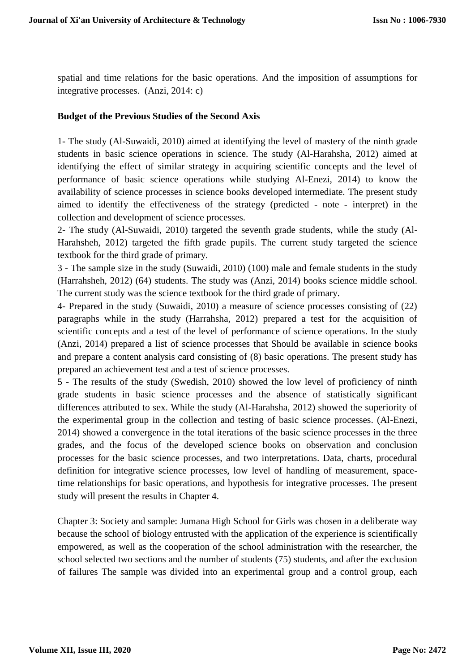spatial and time relations for the basic operations. And the imposition of assumptions for integrative processes. (Anzi, 2014: c)

#### **Budget of the Previous Studies of the Second Axis**

1- The study (Al-Suwaidi, 2010) aimed at identifying the level of mastery of the ninth grade students in basic science operations in science. The study (Al-Harahsha, 2012) aimed at identifying the effect of similar strategy in acquiring scientific concepts and the level of performance of basic science operations while studying Al-Enezi, 2014) to know the availability of science processes in science books developed intermediate. The present study aimed to identify the effectiveness of the strategy (predicted - note - interpret) in the collection and development of science processes.

2- The study (Al-Suwaidi, 2010) targeted the seventh grade students, while the study (Al-Harahsheh, 2012) targeted the fifth grade pupils. The current study targeted the science textbook for the third grade of primary.

3 - The sample size in the study (Suwaidi, 2010) (100) male and female students in the study (Harrahsheh, 2012) (64) students. The study was (Anzi, 2014) books science middle school. The current study was the science textbook for the third grade of primary.

4- Prepared in the study (Suwaidi, 2010) a measure of science processes consisting of (22) paragraphs while in the study (Harrahsha, 2012) prepared a test for the acquisition of scientific concepts and a test of the level of performance of science operations. In the study (Anzi, 2014) prepared a list of science processes that Should be available in science books and prepare a content analysis card consisting of (8) basic operations. The present study has prepared an achievement test and a test of science processes.

5 - The results of the study (Swedish, 2010) showed the low level of proficiency of ninth grade students in basic science processes and the absence of statistically significant differences attributed to sex. While the study (Al-Harahsha, 2012) showed the superiority of the experimental group in the collection and testing of basic science processes. (Al-Enezi, 2014) showed a convergence in the total iterations of the basic science processes in the three grades, and the focus of the developed science books on observation and conclusion processes for the basic science processes, and two interpretations. Data, charts, procedural definition for integrative science processes, low level of handling of measurement, spacetime relationships for basic operations, and hypothesis for integrative processes. The present study will present the results in Chapter 4.

Chapter 3: Society and sample: Jumana High School for Girls was chosen in a deliberate way because the school of biology entrusted with the application of the experience is scientifically empowered, as well as the cooperation of the school administration with the researcher, the school selected two sections and the number of students (75) students, and after the exclusion of failures The sample was divided into an experimental group and a control group, each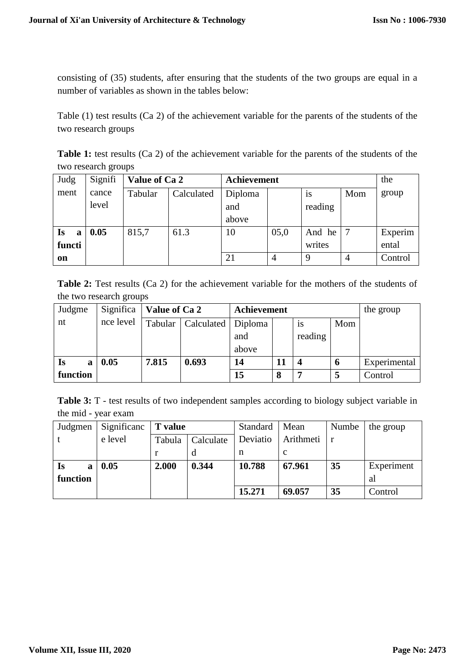consisting of (35) students, after ensuring that the students of the two groups are equal in a number of variables as shown in the tables below:

Table (1) test results (Ca 2) of the achievement variable for the parents of the students of the two research groups

**Table 1:** test results (Ca 2) of the achievement variable for the parents of the students of the two research groups

| Judg           | Signifi | Value of Ca 2 |            | <b>Achievement</b> |      |           |     | the     |
|----------------|---------|---------------|------------|--------------------|------|-----------|-----|---------|
| ment           | cance   | Tabular       | Calculated | Diploma            |      | <b>1S</b> | Mom | group   |
|                | level   |               |            | and                |      | reading   |     |         |
|                |         |               |            | above              |      |           |     |         |
| <b>Is</b><br>a | 0.05    | 815,7         | 61.3       | 10                 | 05,0 | And he    |     | Experim |
| functi         |         |               |            |                    |      | writes    |     | ental   |
| on             |         |               |            | 21                 | 4    | 9         |     | Control |

**Table 2:** Test results (Ca 2) for the achievement variable for the mothers of the students of the two research groups

| Judgme   | Significa | Value of Ca 2 |            | Achievement |    | the group |             |              |
|----------|-----------|---------------|------------|-------------|----|-----------|-------------|--------------|
| nt       | nce level | Tabular       | Calculated | Diploma     |    | <b>1S</b> | Mom         |              |
|          |           |               |            | and         |    | reading   |             |              |
|          |           |               |            | above       |    |           |             |              |
| Is<br>a  | 0.05      | 7.815         | 0.693      | 14          | 11 |           | $\mathbf b$ | Experimental |
| function |           |               |            | 15          | 8  | -         | 5           | Control      |

|                     |  |  | <b>Table 3:</b> T - test results of two independent samples according to biology subject variable in |  |  |
|---------------------|--|--|------------------------------------------------------------------------------------------------------|--|--|
| the mid - year exam |  |  |                                                                                                      |  |  |

| Judgmen  | Significanc | <b>T</b> value      |       | Standard | Mean      | Numbe | the group  |
|----------|-------------|---------------------|-------|----------|-----------|-------|------------|
|          | e level     | Calculate<br>Tabula |       | Deviatio | Arithmeti |       |            |
|          |             |                     |       | n        | c         |       |            |
| Is<br>a  | 0.05        | 2.000               | 0.344 | 10.788   | 67.961    | 35    | Experiment |
| function |             |                     |       |          |           |       | al         |
|          |             |                     |       | 15.271   | 69.057    | 35    | Control    |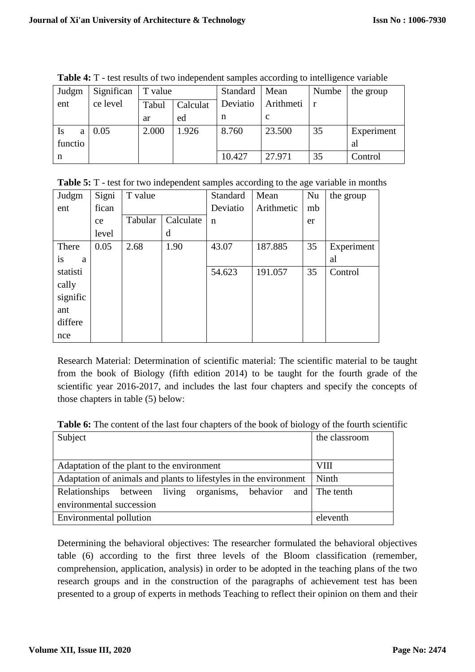| Judgm          | Significan | T value           |       | Standard | Mean      | Numbe | the group  |
|----------------|------------|-------------------|-------|----------|-----------|-------|------------|
| ent            | ce level   | Calculat<br>Tabul |       | Deviatio | Arithmeti |       |            |
|                |            | ar                | ed    | n        | C         |       |            |
| <b>Is</b><br>a | 0.05       | 2.000             | 1.926 | 8.760    | 23.500    | 35    | Experiment |
| functio        |            |                   |       |          |           |       | al         |
| n              |            |                   |       | 10.427   | 27.971    | 35    | Control    |

**Table 4:** T - test results of two independent samples according to intelligence variable

**Table 5:** T - test for two independent samples according to the age variable in months

| Judgm    | Signi | T value |           | Standard    | Mean       | Nu | the group  |
|----------|-------|---------|-----------|-------------|------------|----|------------|
| ent      | fican |         |           | Deviatio    | Arithmetic | mb |            |
|          | ce    | Tabular | Calculate | $\mathbf n$ |            | er |            |
|          | level |         | d         |             |            |    |            |
| There    | 0.05  | 2.68    | 1.90      | 43.07       | 187.885    | 35 | Experiment |
| is<br>a  |       |         |           |             |            |    | al         |
| statisti |       |         |           | 54.623      | 191.057    | 35 | Control    |
| cally    |       |         |           |             |            |    |            |
| signific |       |         |           |             |            |    |            |
| ant      |       |         |           |             |            |    |            |
| differe  |       |         |           |             |            |    |            |
| nce      |       |         |           |             |            |    |            |

Research Material: Determination of scientific material: The scientific material to be taught from the book of Biology (fifth edition 2014) to be taught for the fourth grade of the scientific year 2016-2017, and includes the last four chapters and specify the concepts of those chapters in table (5) below:

**Table 6:** The content of the last four chapters of the book of biology of the fourth scientific

| Subject                                                           | the classroom |
|-------------------------------------------------------------------|---------------|
|                                                                   |               |
| Adaptation of the plant to the environment                        | <b>VIII</b>   |
| Adaptation of animals and plants to lifestyles in the environment | Ninth         |
| Relationships between living organisms, behavior and The tenth    |               |
| environmental succession                                          |               |
| Environmental pollution                                           | eleventh      |

Determining the behavioral objectives: The researcher formulated the behavioral objectives table (6) according to the first three levels of the Bloom classification (remember, comprehension, application, analysis) in order to be adopted in the teaching plans of the two research groups and in the construction of the paragraphs of achievement test has been presented to a group of experts in methods Teaching to reflect their opinion on them and their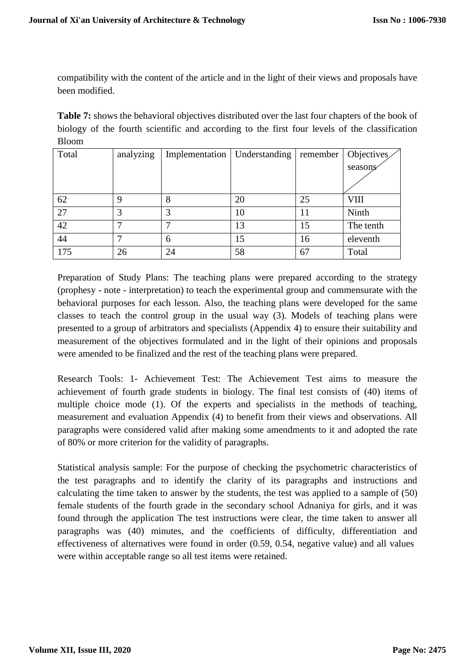compatibility with the content of the article and in the light of their views and proposals have been modified.

**Table 7:** shows the behavioral objectives distributed over the last four chapters of the book of biology of the fourth scientific and according to the first four levels of the classification Bloom

| Total           | analyzing | Implementation   Understanding |    | remember | Objectives  |
|-----------------|-----------|--------------------------------|----|----------|-------------|
|                 |           |                                |    |          | seasons     |
|                 |           |                                |    |          |             |
| 62              | 9         | 8                              | 20 | 25       | <b>VIII</b> |
| $\overline{27}$ | 3         | 3                              | 10 | 11       | Ninth       |
| 42              |           |                                | 13 | 15       | The tenth   |
| 44              |           | 6                              | 15 | 16       | eleventh    |
| 175             | 26        | 24                             | 58 | 67       | Total       |

Preparation of Study Plans: The teaching plans were prepared according to the strategy (prophesy - note - interpretation) to teach the experimental group and commensurate with the behavioral purposes for each lesson. Also, the teaching plans were developed for the same classes to teach the control group in the usual way (3). Models of teaching plans were presented to a group of arbitrators and specialists (Appendix 4) to ensure their suitability and measurement of the objectives formulated and in the light of their opinions and proposals were amended to be finalized and the rest of the teaching plans were prepared.

Research Tools: 1- Achievement Test: The Achievement Test aims to measure the achievement of fourth grade students in biology. The final test consists of (40) items of multiple choice mode (1). Of the experts and specialists in the methods of teaching, measurement and evaluation Appendix (4) to benefit from their views and observations. All paragraphs were considered valid after making some amendments to it and adopted the rate of 80% or more criterion for the validity of paragraphs.

Statistical analysis sample: For the purpose of checking the psychometric characteristics of the test paragraphs and to identify the clarity of its paragraphs and instructions and calculating the time taken to answer by the students, the test was applied to a sample of (50) female students of the fourth grade in the secondary school Adnaniya for girls, and it was found through the application The test instructions were clear, the time taken to answer all paragraphs was (40) minutes, and the coefficients of difficulty, differentiation and effectiveness of alternatives were found in order (0.59, 0.54, negative value) and all values were within acceptable range so all test items were retained.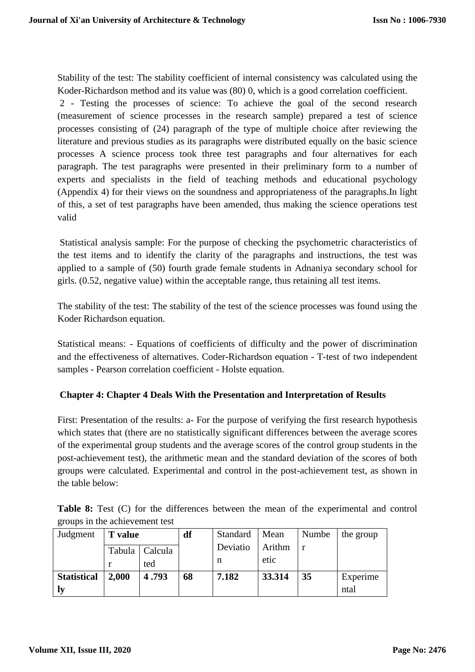Stability of the test: The stability coefficient of internal consistency was calculated using the Koder-Richardson method and its value was (80) 0, which is a good correlation coefficient.

2 - Testing the processes of science: To achieve the goal of the second research (measurement of science processes in the research sample) prepared a test of science processes consisting of (24) paragraph of the type of multiple choice after reviewing the literature and previous studies as its paragraphs were distributed equally on the basic science processes A science process took three test paragraphs and four alternatives for each paragraph. The test paragraphs were presented in their preliminary form to a number of experts and specialists in the field of teaching methods and educational psychology (Appendix 4) for their views on the soundness and appropriateness of the paragraphs.In light of this, a set of test paragraphs have been amended, thus making the science operations test valid

Statistical analysis sample: For the purpose of checking the psychometric characteristics of the test items and to identify the clarity of the paragraphs and instructions, the test was applied to a sample of (50) fourth grade female students in Adnaniya secondary school for girls. (0.52, negative value) within the acceptable range, thus retaining all test items.

The stability of the test: The stability of the test of the science processes was found using the Koder Richardson equation.

Statistical means: - Equations of coefficients of difficulty and the power of discrimination and the effectiveness of alternatives. Coder-Richardson equation - T-test of two independent samples - Pearson correlation coefficient - Holste equation.

## **Chapter 4: Chapter 4 Deals With the Presentation and Interpretation of Results**

First: Presentation of the results: a- For the purpose of verifying the first research hypothesis which states that (there are no statistically significant differences between the average scores of the experimental group students and the average scores of the control group students in the post-achievement test), the arithmetic mean and the standard deviation of the scores of both groups were calculated. Experimental and control in the post-achievement test, as shown in the table below:

|                                |  |  |  |  |  | <b>Table 8:</b> Test (C) for the differences between the mean of the experimental and control |  |
|--------------------------------|--|--|--|--|--|-----------------------------------------------------------------------------------------------|--|
| groups in the achievement test |  |  |  |  |  |                                                                                               |  |

| Judgment           | <b>T</b> value |                         | df | Standard      | Mean           | Numbe | the group        |
|--------------------|----------------|-------------------------|----|---------------|----------------|-------|------------------|
|                    |                | Tabula   Calcula<br>ted |    | Deviatio<br>n | Arithm<br>etic |       |                  |
| <b>Statistical</b> | 2,000          | 4.793<br>68             |    | 7.182         | 33.314         | 35    | Experime<br>ntal |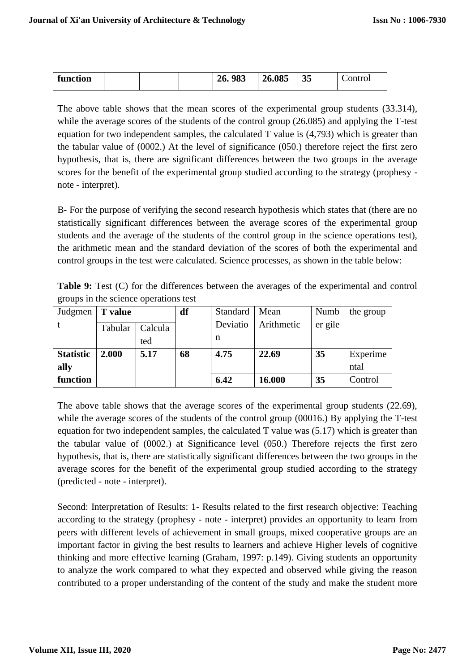| function | 26.085<br>983<br>26. | ັບ | ontrol |
|----------|----------------------|----|--------|
|----------|----------------------|----|--------|

The above table shows that the mean scores of the experimental group students (33.314), while the average scores of the students of the control group (26.085) and applying the T-test equation for two independent samples, the calculated T value is (4,793) which is greater than the tabular value of (0002.) At the level of significance (050.) therefore reject the first zero hypothesis, that is, there are significant differences between the two groups in the average scores for the benefit of the experimental group studied according to the strategy (prophesy note - interpret).

B- For the purpose of verifying the second research hypothesis which states that (there are no statistically significant differences between the average scores of the experimental group students and the average of the students of the control group in the science operations test), the arithmetic mean and the standard deviation of the scores of both the experimental and control groups in the test were calculated. Science processes, as shown in the table below:

**Table 9:** Test (C) for the differences between the averages of the experimental and control groups in the science operations test

| Judgmen          | T value |         | df | Standard | Mean       | Numb    | the group |
|------------------|---------|---------|----|----------|------------|---------|-----------|
|                  | Tabular | Calcula |    | Deviatio | Arithmetic | er gile |           |
|                  |         | ted     |    | n        |            |         |           |
| <b>Statistic</b> | 2.000   | 5.17    | 68 | 4.75     | 22.69      | 35      | Experime  |
| ally             |         |         |    |          |            |         | ntal      |
| function         |         |         |    | 6.42     | 16.000     | 35      | Control   |

The above table shows that the average scores of the experimental group students (22.69), while the average scores of the students of the control group (00016.) By applying the T-test equation for two independent samples, the calculated T value was (5.17) which is greater than the tabular value of (0002.) at Significance level (050.) Therefore rejects the first zero hypothesis, that is, there are statistically significant differences between the two groups in the average scores for the benefit of the experimental group studied according to the strategy (predicted - note - interpret).

Second: Interpretation of Results: 1- Results related to the first research objective: Teaching according to the strategy (prophesy - note - interpret) provides an opportunity to learn from peers with different levels of achievement in small groups, mixed cooperative groups are an important factor in giving the best results to learners and achieve Higher levels of cognitive thinking and more effective learning (Graham, 1997: p.149). Giving students an opportunity to analyze the work compared to what they expected and observed while giving the reason contributed to a proper understanding of the content of the study and make the student more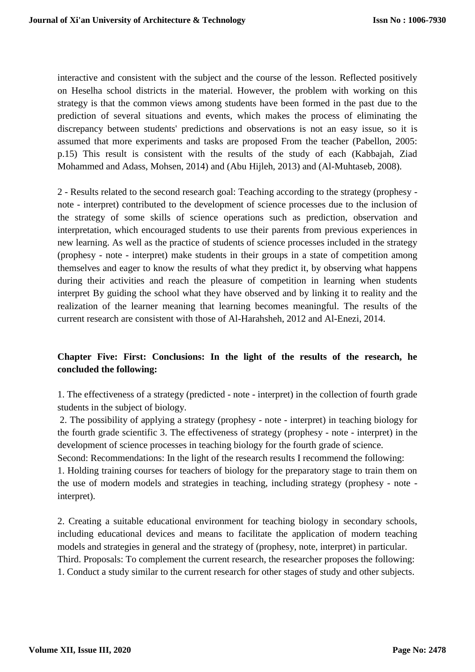interactive and consistent with the subject and the course of the lesson. Reflected positively on Heselha school districts in the material. However, the problem with working on this strategy is that the common views among students have been formed in the past due to the prediction of several situations and events, which makes the process of eliminating the discrepancy between students' predictions and observations is not an easy issue, so it is assumed that more experiments and tasks are proposed From the teacher (Pabellon, 2005: p.15) This result is consistent with the results of the study of each (Kabbajah, Ziad Mohammed and Adass, Mohsen, 2014) and (Abu Hijleh, 2013) and (Al-Muhtaseb, 2008).

2 - Results related to the second research goal: Teaching according to the strategy (prophesy note - interpret) contributed to the development of science processes due to the inclusion of the strategy of some skills of science operations such as prediction, observation and interpretation, which encouraged students to use their parents from previous experiences in new learning. As well as the practice of students of science processes included in the strategy (prophesy - note - interpret) make students in their groups in a state of competition among themselves and eager to know the results of what they predict it, by observing what happens during their activities and reach the pleasure of competition in learning when students interpret By guiding the school what they have observed and by linking it to reality and the realization of the learner meaning that learning becomes meaningful. The results of the current research are consistent with those of Al-Harahsheh, 2012 and Al-Enezi, 2014.

## **Chapter Five: First: Conclusions: In the light of the results of the research, he concluded the following:**

1. The effectiveness of a strategy (predicted - note - interpret) in the collection of fourth grade students in the subject of biology.

2. The possibility of applying a strategy (prophesy - note - interpret) in teaching biology for the fourth grade scientific 3. The effectiveness of strategy (prophesy - note - interpret) in the development of science processes in teaching biology for the fourth grade of science.

Second: Recommendations: In the light of the research results I recommend the following: 1. Holding training courses for teachers of biology for the preparatory stage to train them on the use of modern models and strategies in teaching, including strategy (prophesy - note interpret).

2. Creating a suitable educational environment for teaching biology in secondary schools, including educational devices and means to facilitate the application of modern teaching models and strategies in general and the strategy of (prophesy, note, interpret) in particular. Third. Proposals: To complement the current research, the researcher proposes the following: 1. Conduct a study similar to the current research for other stages of study and other subjects.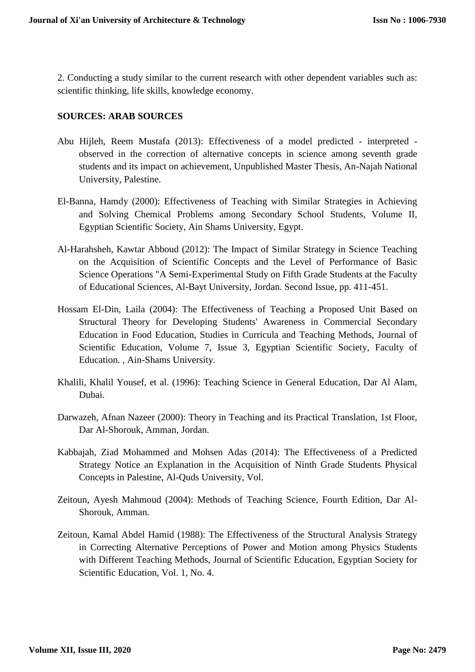2. Conducting a study similar to the current research with other dependent variables such as: scientific thinking, life skills, knowledge economy.

### **SOURCES: ARAB SOURCES**

- Abu Hijleh, Reem Mustafa (2013): Effectiveness of a model predicted interpreted observed in the correction of alternative concepts in science among seventh grade students and its impact on achievement, Unpublished Master Thesis, An-Najah National University, Palestine.
- El-Banna, Hamdy (2000): Effectiveness of Teaching with Similar Strategies in Achieving and Solving Chemical Problems among Secondary School Students, Volume II, Egyptian Scientific Society, Ain Shams University, Egypt.
- Al-Harahsheh, Kawtar Abboud (2012): The Impact of Similar Strategy in Science Teaching on the Acquisition of Scientific Concepts and the Level of Performance of Basic Science Operations "A Semi-Experimental Study on Fifth Grade Students at the Faculty of Educational Sciences, Al-Bayt University, Jordan. Second Issue, pp. 411-451.
- Hossam El-Din, Laila (2004): The Effectiveness of Teaching a Proposed Unit Based on Structural Theory for Developing Students' Awareness in Commercial Secondary Education in Food Education, Studies in Curricula and Teaching Methods, Journal of Scientific Education, Volume 7, Issue 3, Egyptian Scientific Society, Faculty of Education. , Ain-Shams University.
- Khalili, Khalil Yousef, et al. (1996): Teaching Science in General Education, Dar Al Alam, Dubai.
- Darwazeh, Afnan Nazeer (2000): Theory in Teaching and its Practical Translation, 1st Floor, Dar Al-Shorouk, Amman, Jordan.
- Kabbajah, Ziad Mohammed and Mohsen Adas (2014): The Effectiveness of a Predicted Strategy Notice an Explanation in the Acquisition of Ninth Grade Students Physical Concepts in Palestine, Al-Quds University, Vol.
- Zeitoun, Ayesh Mahmoud (2004): Methods of Teaching Science, Fourth Edition, Dar Al-Shorouk, Amman.
- Zeitoun, Kamal Abdel Hamid (1988): The Effectiveness of the Structural Analysis Strategy in Correcting Alternative Perceptions of Power and Motion among Physics Students with Different Teaching Methods, Journal of Scientific Education, Egyptian Society for Scientific Education, Vol. 1, No. 4.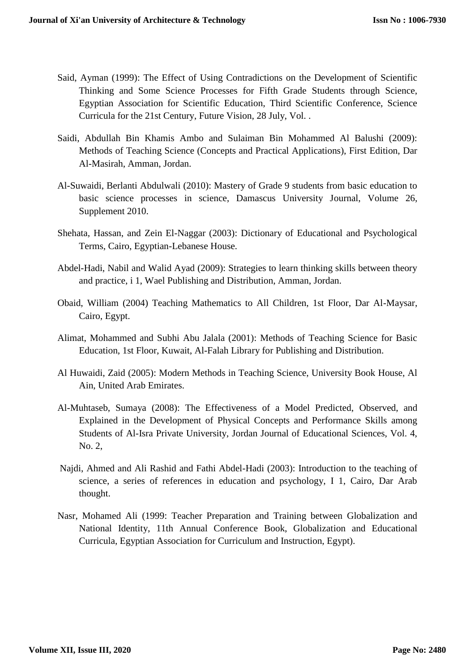- Said, Ayman (1999): The Effect of Using Contradictions on the Development of Scientific Thinking and Some Science Processes for Fifth Grade Students through Science, Egyptian Association for Scientific Education, Third Scientific Conference, Science Curricula for the 21st Century, Future Vision, 28 July, Vol. .
- Saidi, Abdullah Bin Khamis Ambo and Sulaiman Bin Mohammed Al Balushi (2009): Methods of Teaching Science (Concepts and Practical Applications), First Edition, Dar Al-Masirah, Amman, Jordan.
- Al-Suwaidi, Berlanti Abdulwali (2010): Mastery of Grade 9 students from basic education to basic science processes in science, Damascus University Journal, Volume 26, Supplement 2010.
- Shehata, Hassan, and Zein El-Naggar (2003): Dictionary of Educational and Psychological Terms, Cairo, Egyptian-Lebanese House.
- Abdel-Hadi, Nabil and Walid Ayad (2009): Strategies to learn thinking skills between theory and practice, i 1, Wael Publishing and Distribution, Amman, Jordan.
- Obaid, William (2004) Teaching Mathematics to All Children, 1st Floor, Dar Al-Maysar, Cairo, Egypt.
- Alimat, Mohammed and Subhi Abu Jalala (2001): Methods of Teaching Science for Basic Education, 1st Floor, Kuwait, Al-Falah Library for Publishing and Distribution.
- Al Huwaidi, Zaid (2005): Modern Methods in Teaching Science, University Book House, Al Ain, United Arab Emirates.
- Al-Muhtaseb, Sumaya (2008): The Effectiveness of a Model Predicted, Observed, and Explained in the Development of Physical Concepts and Performance Skills among Students of Al-Isra Private University, Jordan Journal of Educational Sciences, Vol. 4, No. 2,
- Najdi, Ahmed and Ali Rashid and Fathi Abdel-Hadi (2003): Introduction to the teaching of science, a series of references in education and psychology, I 1, Cairo, Dar Arab thought.
- Nasr, Mohamed Ali (1999: Teacher Preparation and Training between Globalization and National Identity, 11th Annual Conference Book, Globalization and Educational Curricula, Egyptian Association for Curriculum and Instruction, Egypt).